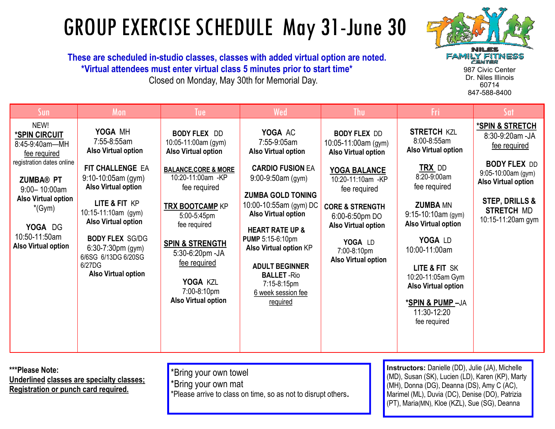## GROUP EXERCISE SCHEDULE May 31-June 30

 **These are scheduled in-studio classes, classes with added virtual option are noted. \*Virtual attendees must enter virtual class 5 minutes prior to start time\*** Closed on Monday, May 30th for Memorial Day.



847-588-8400

| Sun                                                                                                                                                                                                                               | Mon                                                                                                                                                                                                                                                                                                                    | Tue                                                                                                                                                                                                                                                                                                                                 | Wed                                                                                                                                                                                                                                                                                                                                                                                    | <b>Thu</b>                                                                                                                                                                                                                                                          | Fri                                                                                                                                                                                                                                                                                                                                             | Sat                                                                                                                                                                                                  |
|-----------------------------------------------------------------------------------------------------------------------------------------------------------------------------------------------------------------------------------|------------------------------------------------------------------------------------------------------------------------------------------------------------------------------------------------------------------------------------------------------------------------------------------------------------------------|-------------------------------------------------------------------------------------------------------------------------------------------------------------------------------------------------------------------------------------------------------------------------------------------------------------------------------------|----------------------------------------------------------------------------------------------------------------------------------------------------------------------------------------------------------------------------------------------------------------------------------------------------------------------------------------------------------------------------------------|---------------------------------------------------------------------------------------------------------------------------------------------------------------------------------------------------------------------------------------------------------------------|-------------------------------------------------------------------------------------------------------------------------------------------------------------------------------------------------------------------------------------------------------------------------------------------------------------------------------------------------|------------------------------------------------------------------------------------------------------------------------------------------------------------------------------------------------------|
| NEW!<br>*SPIN CIRCUIT<br>8:45-9:40am-MH<br>fee required<br>registration dates online<br><b>ZUMBA® PT</b><br>$9:00 - 10:00$ am<br><b>Also Virtual option</b><br>$*(Gym)$<br>YOGA DG<br>10:50-11:50am<br><b>Also Virtual option</b> | YOGA MH<br>7:55-8:55am<br><b>Also Virtual option</b><br>FIT CHALLENGE EA<br>$9:10-10:05$ am (gym)<br><b>Also Virtual option</b><br>LITE & FIT KP<br>10:15-11:10am (gym)<br><b>Also Virtual option</b><br><b>BODY FLEX SG/DG</b><br>$6:30-7:30$ pm (gym)<br>6/6SG 6/13DG 6/20SG<br>6/27DG<br><b>Also Virtual option</b> | <b>BODY FLEX DD</b><br>10:05-11:00am (gym)<br><b>Also Virtual option</b><br><b>BALANCE, CORE &amp; MORE</b><br>10:20-11:00am -KP<br>fee required<br><b>TRX BOOTCAMP KP</b><br>5:00-5:45pm<br>fee required<br><b>SPIN &amp; STRENGTH</b><br>5:30-6:20pm -JA<br>fee required<br>YOGA KZL<br>7:00-8:10pm<br><b>Also Virtual option</b> | YOGA AC<br>7:55-9:05am<br><b>Also Virtual option</b><br><b>CARDIO FUSION EA</b><br>$9:00-9:50$ am $(gym)$<br><b>ZUMBA GOLD TONING</b><br>10:00-10:55am (gym) DC<br><b>Also Virtual option</b><br><b>HEART RATE UP &amp;</b><br><b>PUMP 5:15-6:10pm</b><br><b>Also Virtual option KP</b><br><b>ADULT BEGINNER</b><br><b>BALLET-Rio</b><br>7:15-8:15pm<br>6 week session fee<br>required | <b>BODY FLEX DD</b><br>10:05-11:00am (gym)<br><b>Also Virtual option</b><br>YOGA BALANCE<br>10:20-11:10am -KP<br>fee required<br><b>CORE &amp; STRENGTH</b><br>6:00-6:50pm DO<br><b>Also Virtual option</b><br>YOGA LD<br>7:00-8:10pm<br><b>Also Virtual option</b> | <b>STRETCH KZL</b><br>8:00-8:55am<br><b>Also Virtual option</b><br><b>TRX</b> DD<br>8:20-9:00am<br>fee required<br><b>ZUMBA MN</b><br>$9:15-10:10am$ (gym)<br>Also Virtual option<br>YOGA LD<br>10:00-11:00am<br>LITE & FIT SK<br>10:20-11:05am Gym<br><b>Also Virtual option</b><br><u>*Spin &amp; Pump</u> -Ja<br>11:30-12:20<br>fee required | *SPIN & STRETCH<br>8:30-9:20am -JA<br>fee required<br><b>BODY FLEX DD</b><br>9:05-10:00am (gym)<br><b>Also Virtual option</b><br><b>STEP, DRILLS &amp;</b><br><b>STRETCH MD</b><br>10:15-11:20am gym |

**\*\*\*Please Note: Underlined classes are specialty classes; Registration or punch card required.** 

\*Bring your own towel \*Bring your own mat \*Please arrive to class on time, so as not to disrupt others. **Instructors:** Danielle (DD), Julie (JA), Michelle (MD), Susan (SK), Lucien (LD), Karen (KP), Marty (MH), Donna (DG), Deanna (DS), Amy C (AC), Marimel (ML), Duvia (DC), Denise (DO), Patrizia (PT), Maria(MN), Kloe (KZL), Sue (SG), Deanna